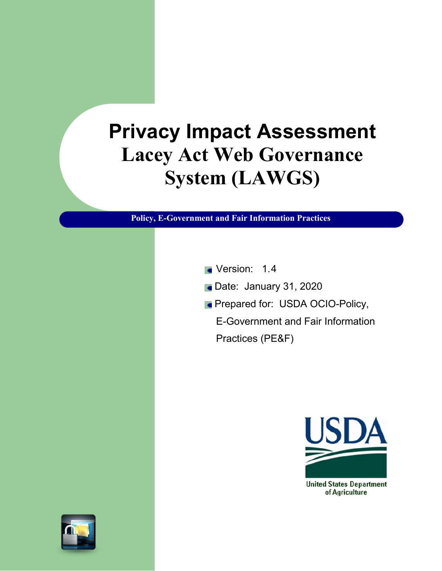# **Privacy Impact Assessment Lacey Act Web Governance System (LAWGS)**

**Policy, E-Government and Fair Information Practices** 

- **Version: 1.4**
- Date: January 31, 2020
- **Prepared for: USDA OCIO-Policy,** 
	- E-Government and Fair Information Practices (PE&F)



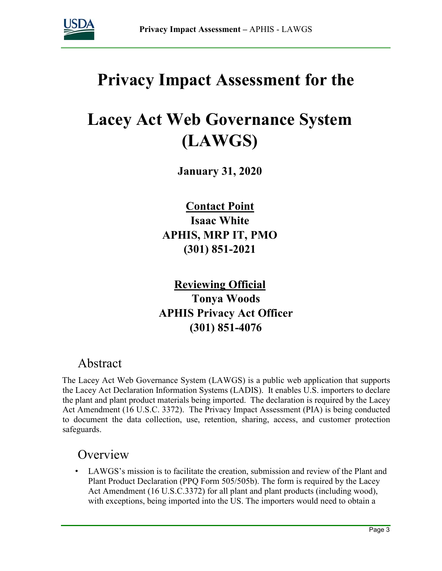

## **Privacy Impact Assessment for the**

## **Lacey Act Web Governance System (LAWGS)**

**January 31, 2020**

**Contact Point Isaac White APHIS, MRP IT, PMO (301) 851-2021** 

**Reviewing Official Tonya Woods APHIS Privacy Act Officer (301) 851-4076** 

## Abstract

The Lacey Act Web Governance System (LAWGS) is a public web application that supports the Lacey Act Declaration Information Systems (LADIS). It enables U.S. importers to declare the plant and plant product materials being imported. The declaration is required by the Lacey Act Amendment (16 U.S.C. 3372). The Privacy Impact Assessment (PIA) is being conducted to document the data collection, use, retention, sharing, access, and customer protection safeguards.

## **Overview**

LAWGS's mission is to facilitate the creation, submission and review of the Plant and Plant Product Declaration (PPQ Form 505/505b). The form is required by the Lacey Act Amendment (16 U.S.C.3372) for all plant and plant products (including wood), with exceptions, being imported into the US. The importers would need to obtain a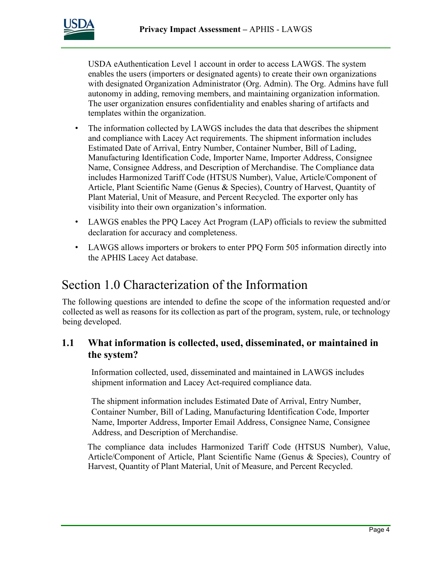USDA eAuthentication Level 1 account in order to access LAWGS. The system enables the users (importers or designated agents) to create their own organizations with designated Organization Administrator (Org. Admin). The Org. Admins have full autonomy in adding, removing members, and maintaining organization information. The user organization ensures confidentiality and enables sharing of artifacts and templates within the organization.

- The information collected by LAWGS includes the data that describes the shipment and compliance with Lacey Act requirements. The shipment information includes Estimated Date of Arrival, Entry Number, Container Number, Bill of Lading, Manufacturing Identification Code, Importer Name, Importer Address, Consignee Name, Consignee Address, and Description of Merchandise. The Compliance data includes Harmonized Tariff Code (HTSUS Number), Value, Article/Component of Article, Plant Scientific Name (Genus & Species), Country of Harvest, Quantity of Plant Material, Unit of Measure, and Percent Recycled. The exporter only has visibility into their own organization's information.
- LAWGS enables the PPQ Lacey Act Program (LAP) officials to review the submitted declaration for accuracy and completeness.
- LAWGS allows importers or brokers to enter PPQ Form 505 information directly into the APHIS Lacey Act database.

## Section 1.0 Characterization of the Information

The following questions are intended to define the scope of the information requested and/or collected as well as reasons for its collection as part of the program, system, rule, or technology being developed.

#### **1.1 What information is collected, used, disseminated, or maintained in the system?**

Information collected, used, disseminated and maintained in LAWGS includes shipment information and Lacey Act-required compliance data.

The shipment information includes Estimated Date of Arrival, Entry Number, Container Number, Bill of Lading, Manufacturing Identification Code, Importer Name, Importer Address, Importer Email Address, Consignee Name, Consignee Address, and Description of Merchandise.

The compliance data includes Harmonized Tariff Code (HTSUS Number), Value, Article/Component of Article, Plant Scientific Name (Genus & Species), Country of Harvest, Quantity of Plant Material, Unit of Measure, and Percent Recycled.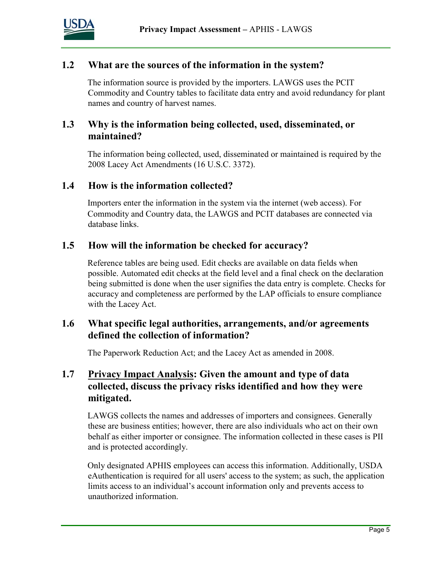

#### **1.2 What are the sources of the information in the system?**

The information source is provided by the importers. LAWGS uses the PCIT Commodity and Country tables to facilitate data entry and avoid redundancy for plant names and country of harvest names.

#### **1.3 Why is the information being collected, used, disseminated, or maintained?**

The information being collected, used, disseminated or maintained is required by the 2008 Lacey Act Amendments (16 U.S.C. 3372).

#### **1.4 How is the information collected?**

Importers enter the information in the system via the internet (web access). For Commodity and Country data, the LAWGS and PCIT databases are connected via database links.

#### **1.5 How will the information be checked for accuracy?**

Reference tables are being used. Edit checks are available on data fields when possible. Automated edit checks at the field level and a final check on the declaration being submitted is done when the user signifies the data entry is complete. Checks for accuracy and completeness are performed by the LAP officials to ensure compliance with the Lacey Act.

#### **1.6 What specific legal authorities, arrangements, and/or agreements defined the collection of information?**

The Paperwork Reduction Act; and the Lacey Act as amended in 2008.

#### **1.7 Privacy Impact Analysis: Given the amount and type of data collected, discuss the privacy risks identified and how they were mitigated.**

LAWGS collects the names and addresses of importers and consignees. Generally these are business entities; however, there are also individuals who act on their own behalf as either importer or consignee. The information collected in these cases is PII and is protected accordingly.

Only designated APHIS employees can access this information. Additionally, USDA eAuthentication is required for all users' access to the system; as such, the application limits access to an individual's account information only and prevents access to unauthorized information.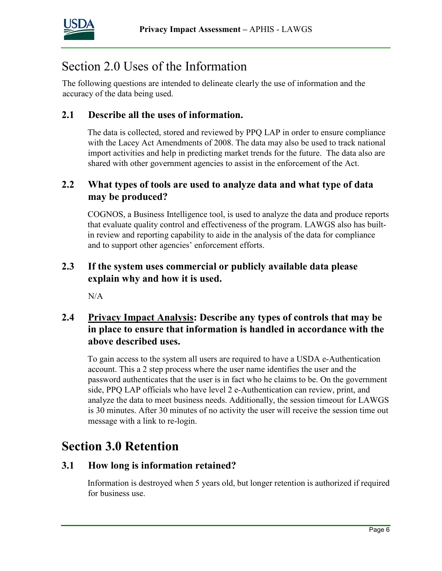

## Section 2.0 Uses of the Information

The following questions are intended to delineate clearly the use of information and the accuracy of the data being used.

#### **2.1 Describe all the uses of information.**

The data is collected, stored and reviewed by PPQ LAP in order to ensure compliance with the Lacey Act Amendments of 2008. The data may also be used to track national import activities and help in predicting market trends for the future. The data also are shared with other government agencies to assist in the enforcement of the Act.

#### **2.2 What types of tools are used to analyze data and what type of data may be produced?**

COGNOS, a Business Intelligence tool, is used to analyze the data and produce reports that evaluate quality control and effectiveness of the program. LAWGS also has builtin review and reporting capability to aide in the analysis of the data for compliance and to support other agencies' enforcement efforts.

#### **2.3 If the system uses commercial or publicly available data please explain why and how it is used.**

N/A

#### **2.4 Privacy Impact Analysis: Describe any types of controls that may be in place to ensure that information is handled in accordance with the above described uses.**

To gain access to the system all users are required to have a USDA e-Authentication account. This a 2 step process where the user name identifies the user and the password authenticates that the user is in fact who he claims to be. On the government side, PPQ LAP officials who have level 2 e-Authentication can review, print, and analyze the data to meet business needs. Additionally, the session timeout for LAWGS is 30 minutes. After 30 minutes of no activity the user will receive the session time out message with a link to re-login.

## **Section 3.0 Retention**

#### **3.1 How long is information retained?**

Information is destroyed when 5 years old, but longer retention is authorized if required for business use.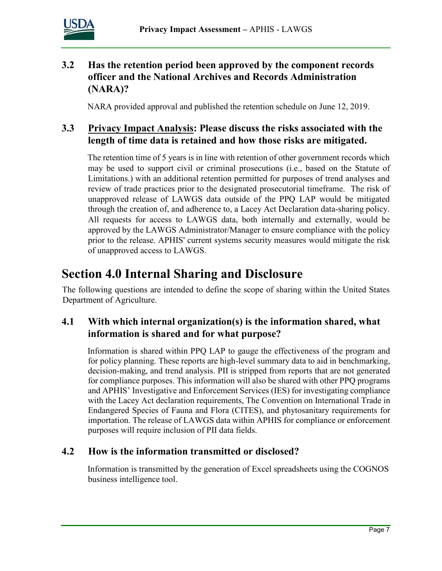

#### **3.2 Has the retention period been approved by the component records officer and the National Archives and Records Administration (NARA)?**

NARA provided approval and published the retention schedule on June 12, 2019.

#### **3.3 Privacy Impact Analysis: Please discuss the risks associated with the length of time data is retained and how those risks are mitigated.**

The retention time of 5 years is in line with retention of other government records which may be used to support civil or criminal prosecutions (i.e., based on the Statute of Limitations.) with an additional retention permitted for purposes of trend analyses and review of trade practices prior to the designated prosecutorial timeframe. The risk of unapproved release of LAWGS data outside of the PPQ LAP would be mitigated through the creation of, and adherence to, a Lacey Act Declaration data-sharing policy. All requests for access to LAWGS data, both internally and externally, would be approved by the LAWGS Administrator/Manager to ensure compliance with the policy prior to the release. APHIS' current systems security measures would mitigate the risk of unapproved access to LAWGS.

## **Section 4.0 Internal Sharing and Disclosure**

The following questions are intended to define the scope of sharing within the United States Department of Agriculture.

#### **4.1 With which internal organization(s) is the information shared, what information is shared and for what purpose?**

Information is shared within PPQ LAP to gauge the effectiveness of the program and for policy planning. These reports are high-level summary data to aid in benchmarking, decision-making, and trend analysis. PII is stripped from reports that are not generated for compliance purposes. This information will also be shared with other PPQ programs and APHIS' Investigative and Enforcement Services (IES) for investigating compliance with the Lacey Act declaration requirements, The Convention on International Trade in Endangered Species of Fauna and Flora (CITES), and phytosanitary requirements for importation. The release of LAWGS data within APHIS for compliance or enforcement purposes will require inclusion of PII data fields.

#### **4.2 How is the information transmitted or disclosed?**

Information is transmitted by the generation of Excel spreadsheets using the COGNOS business intelligence tool.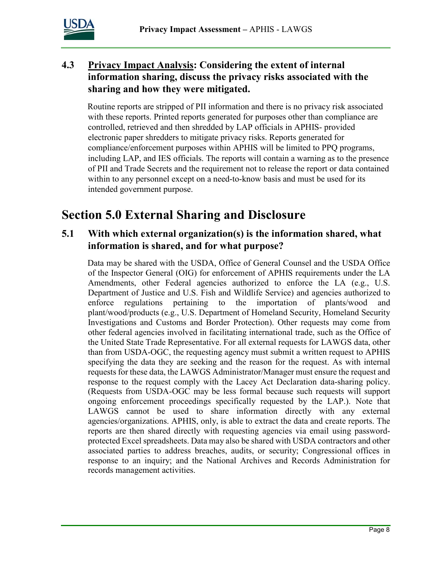

#### **4.3 Privacy Impact Analysis: Considering the extent of internal information sharing, discuss the privacy risks associated with the sharing and how they were mitigated.**

Routine reports are stripped of PII information and there is no privacy risk associated with these reports. Printed reports generated for purposes other than compliance are controlled, retrieved and then shredded by LAP officials in APHIS- provided electronic paper shredders to mitigate privacy risks. Reports generated for compliance/enforcement purposes within APHIS will be limited to PPQ programs, including LAP, and IES officials. The reports will contain a warning as to the presence of PII and Trade Secrets and the requirement not to release the report or data contained within to any personnel except on a need-to-know basis and must be used for its intended government purpose.

## **Section 5.0 External Sharing and Disclosure**

#### **5.1 With which external organization(s) is the information shared, what information is shared, and for what purpose?**

Data may be shared with the USDA, Office of General Counsel and the USDA Office of the Inspector General (OIG) for enforcement of APHIS requirements under the LA Amendments, other Federal agencies authorized to enforce the LA (e.g., U.S. Department of Justice and U.S. Fish and Wildlife Service) and agencies authorized to enforce regulations pertaining to the importation of plants/wood and plant/wood/products (e.g., U.S. Department of Homeland Security, Homeland Security Investigations and Customs and Border Protection). Other requests may come from other federal agencies involved in facilitating international trade, such as the Office of the United State Trade Representative. For all external requests for LAWGS data, other than from USDA-OGC, the requesting agency must submit a written request to APHIS specifying the data they are seeking and the reason for the request. As with internal requests for these data, the LAWGS Administrator/Manager must ensure the request and response to the request comply with the Lacey Act Declaration data-sharing policy. (Requests from USDA-OGC may be less formal because such requests will support ongoing enforcement proceedings specifically requested by the LAP.). Note that LAWGS cannot be used to share information directly with any external agencies/organizations. APHIS, only, is able to extract the data and create reports. The reports are then shared directly with requesting agencies via email using passwordprotected Excel spreadsheets. Data may also be shared with USDA contractors and other associated parties to address breaches, audits, or security; Congressional offices in response to an inquiry; and the National Archives and Records Administration for records management activities.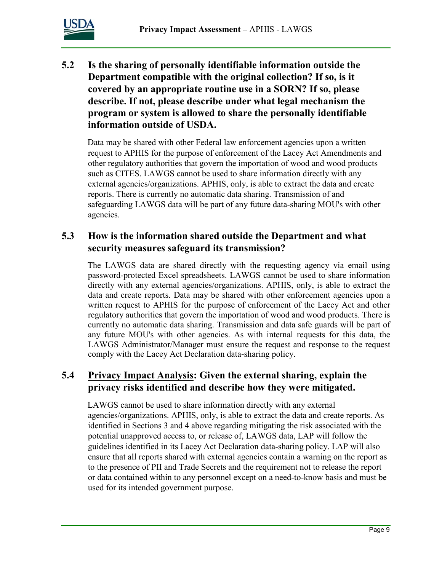

**5.2 Is the sharing of personally identifiable information outside the Department compatible with the original collection? If so, is it covered by an appropriate routine use in a SORN? If so, please describe. If not, please describe under what legal mechanism the program or system is allowed to share the personally identifiable information outside of USDA.** 

Data may be shared with other Federal law enforcement agencies upon a written request to APHIS for the purpose of enforcement of the Lacey Act Amendments and other regulatory authorities that govern the importation of wood and wood products such as CITES. LAWGS cannot be used to share information directly with any external agencies/organizations. APHIS, only, is able to extract the data and create reports. There is currently no automatic data sharing. Transmission of and safeguarding LAWGS data will be part of any future data-sharing MOU's with other agencies.

#### **5.3 How is the information shared outside the Department and what security measures safeguard its transmission?**

The LAWGS data are shared directly with the requesting agency via email using password-protected Excel spreadsheets. LAWGS cannot be used to share information directly with any external agencies/organizations. APHIS, only, is able to extract the data and create reports. Data may be shared with other enforcement agencies upon a written request to APHIS for the purpose of enforcement of the Lacey Act and other regulatory authorities that govern the importation of wood and wood products. There is currently no automatic data sharing. Transmission and data safe guards will be part of any future MOU's with other agencies. As with internal requests for this data, the LAWGS Administrator/Manager must ensure the request and response to the request comply with the Lacey Act Declaration data-sharing policy.

#### **5.4 Privacy Impact Analysis: Given the external sharing, explain the privacy risks identified and describe how they were mitigated.**

LAWGS cannot be used to share information directly with any external agencies/organizations. APHIS, only, is able to extract the data and create reports. As identified in Sections 3 and 4 above regarding mitigating the risk associated with the potential unapproved access to, or release of, LAWGS data, LAP will follow the guidelines identified in its Lacey Act Declaration data-sharing policy. LAP will also ensure that all reports shared with external agencies contain a warning on the report as to the presence of PII and Trade Secrets and the requirement not to release the report or data contained within to any personnel except on a need-to-know basis and must be used for its intended government purpose.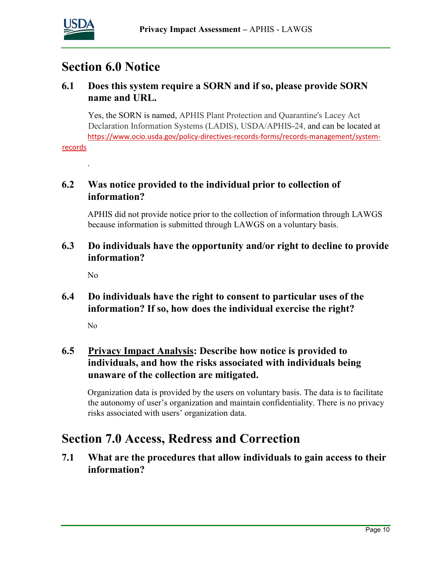

### **Section 6.0 Notice**

#### **6.1 Does this system require a SORN and if so, please provide SORN name and URL.**

 Yes, the SORN is named, APHIS Plant Protection and Quarantine's Lacey Act Declaration Information Systems (LADIS), USDA/APHIS-24, and can be located at [https://www.ocio.usda.gov/policy-directives-records-forms/records-management/system-](https://gcc02.safelinks.protection.outlook.com/?url=https%3A%2F%2Fwww.ocio.usda.gov%2Fpolicy-directives-records-forms%2Frecords-management%2Fsystem-records&data=02%7C01%7C%7Cca8c7804c8ea4eb6a35c08d7b53efaaf%7Ced5b36e701ee4ebc867ee03cfa0d4697%7C0%7C0%7C637177154402953026&sdata=KdJZHLz8kR7AE94I0EgJF48Vljpo1ePpkIeZDtI75ZA%3D&reserved=0)

[records](https://gcc02.safelinks.protection.outlook.com/?url=https%3A%2F%2Fwww.ocio.usda.gov%2Fpolicy-directives-records-forms%2Frecords-management%2Fsystem-records&data=02%7C01%7C%7Cca8c7804c8ea4eb6a35c08d7b53efaaf%7Ced5b36e701ee4ebc867ee03cfa0d4697%7C0%7C0%7C637177154402953026&sdata=KdJZHLz8kR7AE94I0EgJF48Vljpo1ePpkIeZDtI75ZA%3D&reserved=0)

.

#### **6.2 Was notice provided to the individual prior to collection of information?**

APHIS did not provide notice prior to the collection of information through LAWGS because information is submitted through LAWGS on a voluntary basis.

**6.3 Do individuals have the opportunity and/or right to decline to provide information?** 

No

#### **6.4 Do individuals have the right to consent to particular uses of the information? If so, how does the individual exercise the right?**

No

#### **6.5 Privacy Impact Analysis: Describe how notice is provided to individuals, and how the risks associated with individuals being unaware of the collection are mitigated.**

Organization data is provided by the users on voluntary basis. The data is to facilitate the autonomy of user's organization and maintain confidentiality. There is no privacy risks associated with users' organization data.

## **Section 7.0 Access, Redress and Correction**

**7.1 What are the procedures that allow individuals to gain access to their information?**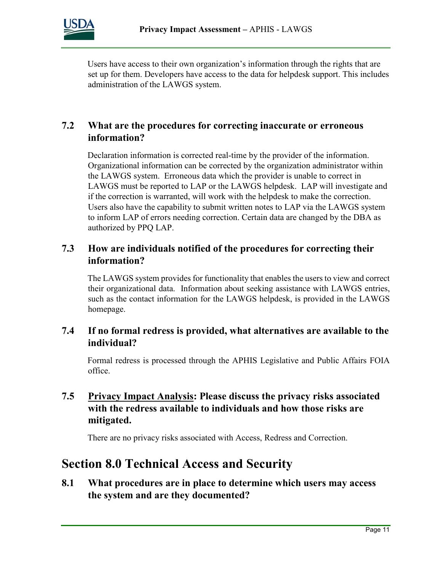

Users have access to their own organization's information through the rights that are set up for them. Developers have access to the data for helpdesk support. This includes administration of the LAWGS system.

#### **7.2 What are the procedures for correcting inaccurate or erroneous information?**

Declaration information is corrected real-time by the provider of the information. Organizational information can be corrected by the organization administrator within the LAWGS system. Erroneous data which the provider is unable to correct in LAWGS must be reported to LAP or the LAWGS helpdesk. LAP will investigate and if the correction is warranted, will work with the helpdesk to make the correction. Users also have the capability to submit written notes to LAP via the LAWGS system to inform LAP of errors needing correction. Certain data are changed by the DBA as authorized by PPQ LAP.

#### **7.3 How are individuals notified of the procedures for correcting their information?**

The LAWGS system provides for functionality that enables the users to view and correct their organizational data. Information about seeking assistance with LAWGS entries, such as the contact information for the LAWGS helpdesk, is provided in the LAWGS homepage.

#### **7.4 If no formal redress is provided, what alternatives are available to the individual?**

Formal redress is processed through the APHIS Legislative and Public Affairs FOIA office.

#### **7.5 Privacy Impact Analysis: Please discuss the privacy risks associated with the redress available to individuals and how those risks are mitigated.**

There are no privacy risks associated with Access, Redress and Correction.

## **Section 8.0 Technical Access and Security**

**8.1 What procedures are in place to determine which users may access the system and are they documented?**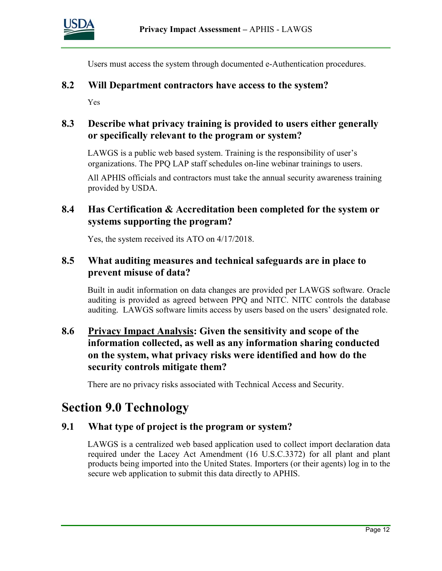

Users must access the system through documented e-Authentication procedures.

#### **8.2 Will Department contractors have access to the system?**

Yes

#### **8.3 Describe what privacy training is provided to users either generally or specifically relevant to the program or system?**

LAWGS is a public web based system. Training is the responsibility of user's organizations. The PPQ LAP staff schedules on-line webinar trainings to users.

All APHIS officials and contractors must take the annual security awareness training provided by USDA.

#### **8.4 Has Certification & Accreditation been completed for the system or systems supporting the program?**

Yes, the system received its ATO on 4/17/2018.

#### **8.5 What auditing measures and technical safeguards are in place to prevent misuse of data?**

Built in audit information on data changes are provided per LAWGS software. Oracle auditing is provided as agreed between PPQ and NITC. NITC controls the database auditing. LAWGS software limits access by users based on the users' designated role.

#### **8.6 Privacy Impact Analysis: Given the sensitivity and scope of the information collected, as well as any information sharing conducted on the system, what privacy risks were identified and how do the security controls mitigate them?**

There are no privacy risks associated with Technical Access and Security.

### **Section 9.0 Technology**

#### **9.1 What type of project is the program or system?**

LAWGS is a centralized web based application used to collect import declaration data required under the Lacey Act Amendment (16 U.S.C.3372) for all plant and plant products being imported into the United States. Importers (or their agents) log in to the secure web application to submit this data directly to APHIS.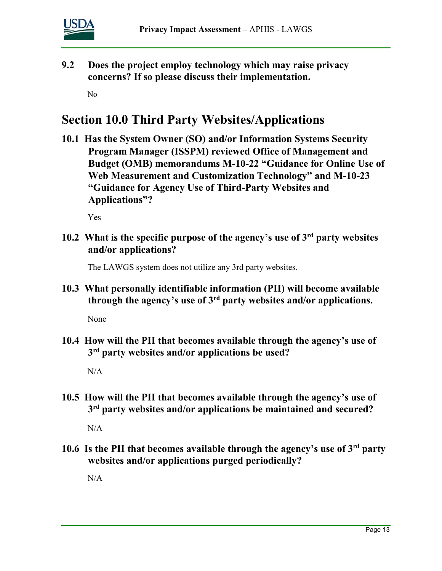

**9.2 Does the project employ technology which may raise privacy concerns? If so please discuss their implementation.** 

No

## **Section 10.0 Third Party Websites/Applications**

**10.1 Has the System Owner (SO) and/or Information Systems Security Program Manager (ISSPM) reviewed Office of Management and Budget (OMB) memorandums M-10-22 "Guidance for Online Use of Web Measurement and Customization Technology" and M-10-23 "Guidance for Agency Use of Third-Party Websites and Applications"?** 

Yes

**10.2 What is the specific purpose of the agency's use of 3rd party websites and/or applications?** 

The LAWGS system does not utilize any 3rd party websites.

**10.3 What personally identifiable information (PII) will become available through the agency's use of 3rd party websites and/or applications.** 

None

**10.4 How will the PII that becomes available through the agency's use of 3rd party websites and/or applications be used?** 

N/A

**10.5 How will the PII that becomes available through the agency's use of 3rd party websites and/or applications be maintained and secured?** 

 $N/A$ 

**10.6 Is the PII that becomes available through the agency's use of 3rd party websites and/or applications purged periodically?** 

N/A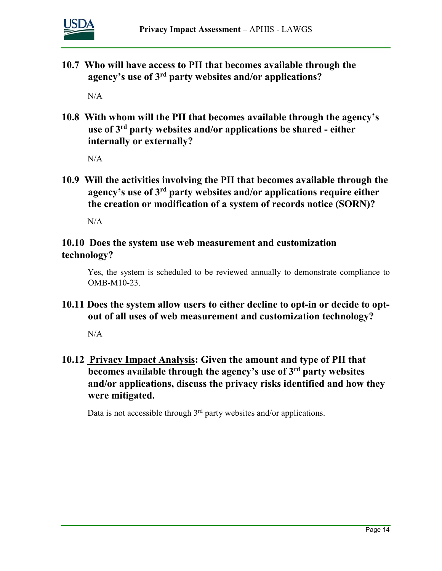

**10.7 Who will have access to PII that becomes available through the agency's use of 3rd party websites and/or applications?** 

 $N/A$ 

**10.8 With whom will the PII that becomes available through the agency's use of 3rd party websites and/or applications be shared - either internally or externally?** 

 $N/A$ 

**10.9 Will the activities involving the PII that becomes available through the agency's use of 3rd party websites and/or applications require either the creation or modification of a system of records notice (SORN)?** 

N/A

#### **10.10 Does the system use web measurement and customization technology?**

Yes, the system is scheduled to be reviewed annually to demonstrate compliance to OMB-M10-23.

**10.11 Does the system allow users to either decline to opt-in or decide to optout of all uses of web measurement and customization technology?** 

N/A

**10.12 Privacy Impact Analysis: Given the amount and type of PII that becomes available through the agency's use of 3rd party websites and/or applications, discuss the privacy risks identified and how they were mitigated.** 

Data is not accessible through  $3<sup>rd</sup>$  party websites and/or applications.